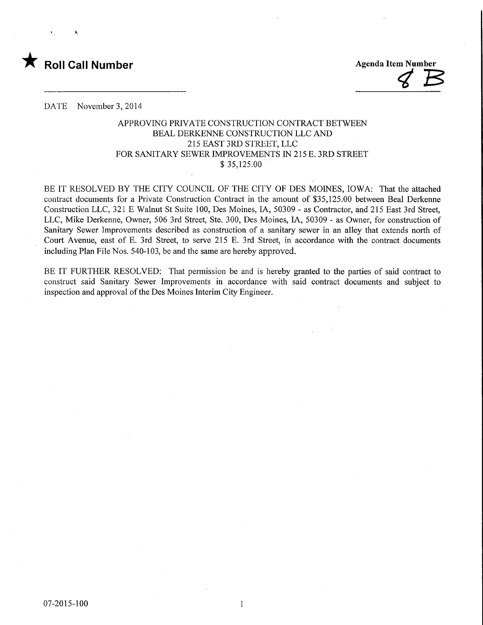

 $\overline{\mathcal{C}}$ 

DATE November 3,2014

## APPROVING PRTVATE CONSTRUCTION CONTRACT BETWEEN BEAL DERKENNE CONSTRUCTION LLC AND 215 EAST 3RD STREET, LLC FOR SANITARY SEWER IMPROVEMENTS IN 215 E. 3RD STREET  $$35,125.00$

BE IT RESOLVED BY THE CITY COUNCIL OF THE CITY OF DES MOINES, IOWA: That the attached contract documents for a Private Construction Contract in the amount of \$35,125.00 between Beal Derkenne Construction LLC, 321 E Walnut St Suite 100, Des Moines, IA, 50309 - as Contractor, and 215 East 3rd Street, LLC, Mike Derkenne, Owner, 506 3rd Street, Ste. 300, Des Moines, IA, 50309 - as Owner, for construction of Sanitary Sewer Improvements described as construction of a sanitary sewer in an alley that extends north of Court Avenue, east of E. 3rd Street, to serve 215 E. 3rd Street, in accordance with the contract documents including Plan File Nos. 540-103, be and the same are hereby approved.

BE IT FURTHER RESOLVED: That permission be and is hereby granted to the parties of said contract to construct said Sanitary Sewer Improvements in accordance with said contract documents and subject to inspection and approval of the Des Moines Interim City Engineer.

 $\overline{1}$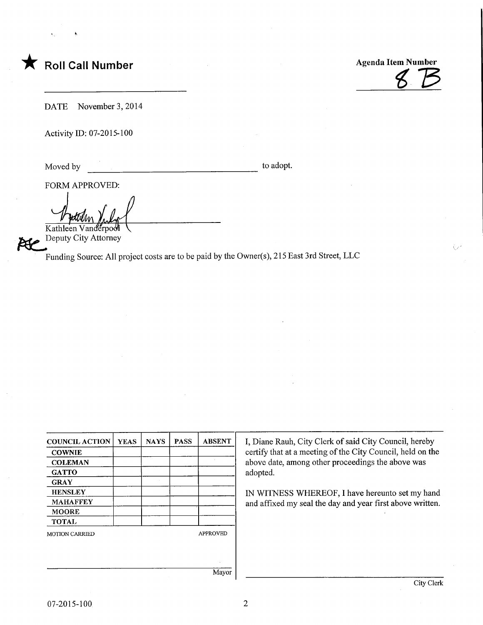Roll Call Number<br>
Agenda Item Number<br>
Agenda Item Number<br>
Agenda Item Number<br>
Agenda Item Number

DATE November 3, 2014

Activity ID: 07-2015-100

Moved by to adopt.

FORM APPROVED:

 $\Delta$  for Kathleen Vandërpo

EECPE Deputy City Attorney

Funding Source: All project costs are to be paid by the Owner(s), 215 East 3rd Street, LLC

| <b>COUNCIL ACTION</b> | <b>YEAS</b> | <b>NAYS</b> | <b>PASS</b> | <b>ABSENT</b>   |
|-----------------------|-------------|-------------|-------------|-----------------|
| <b>COWNIE</b>         |             |             |             |                 |
| <b>COLEMAN</b>        |             |             |             |                 |
| <b>GATTO</b>          |             |             |             |                 |
| <b>GRAY</b>           |             |             |             |                 |
| <b>HENSLEY</b>        |             |             |             |                 |
| <b>MAHAFFEY</b>       |             |             |             |                 |
| <b>MOORE</b>          |             |             |             |                 |
| <b>TOTAL</b>          |             |             |             |                 |
| <b>MOTION CARRIED</b> |             |             |             | <b>APPROVED</b> |
|                       |             |             |             |                 |
|                       |             |             |             |                 |
|                       |             |             |             |                 |
|                       |             |             |             | Mayor           |

I, Diane Rauh, City Clerk of said City Council, hereby certify that at a meeting of the City Council, held on the above date, among other proceedings the above was adopted.

IN WITNESS WHEREOF, I have hereunto set my hand and affixed my seal the day and year first above written.